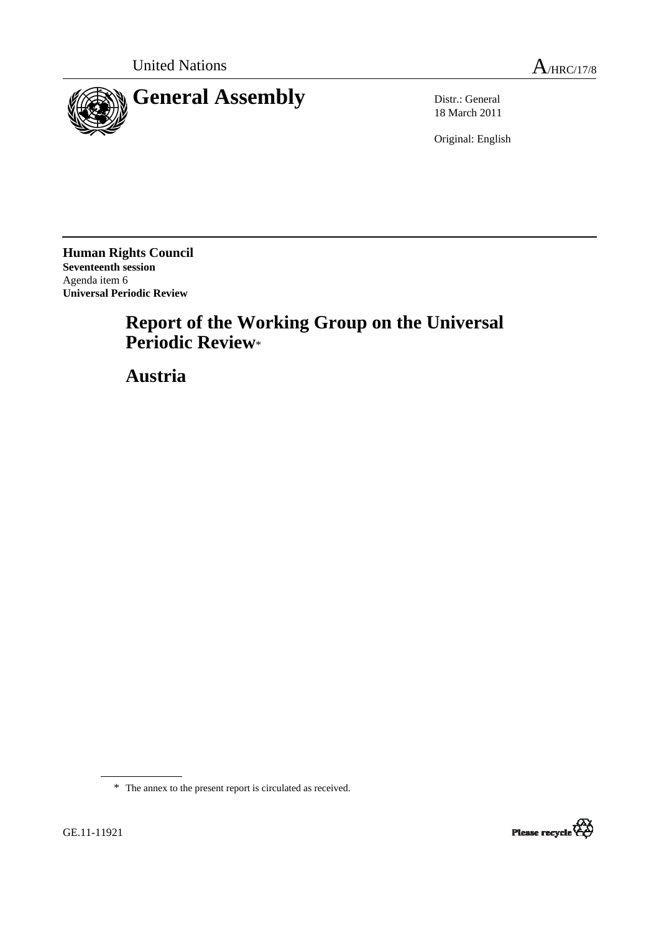

18 March 2011

Original: English

**Human Rights Council Seventeenth session**  Agenda item 6 **Universal Periodic Review**

# **Report of the Working Group on the Universal Periodic Review**\*

 **Austria**

\* The annex to the present report is circulated as received.

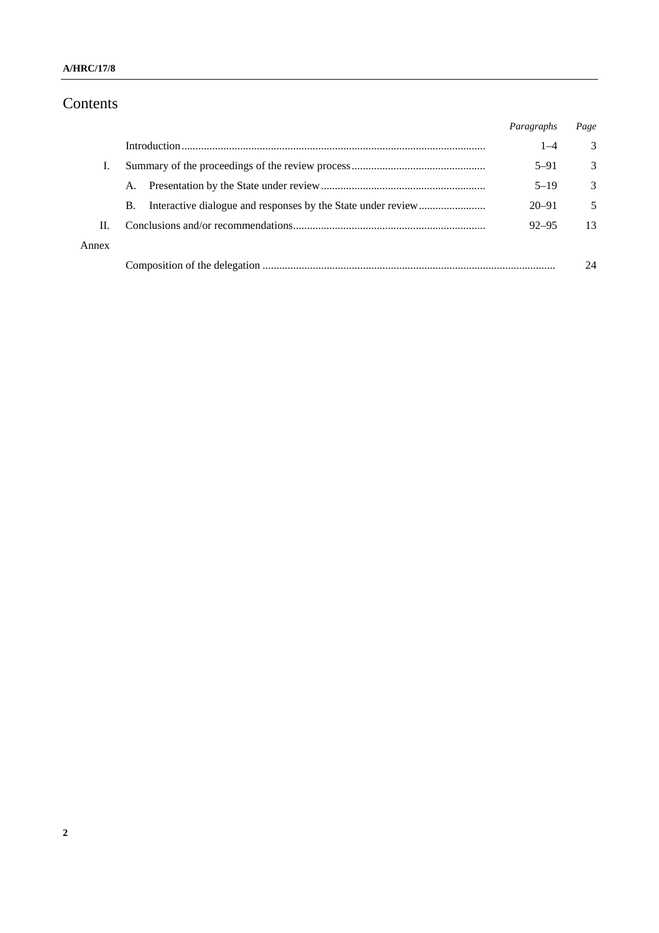# Contents

|       |    | Paragraphs | Page |
|-------|----|------------|------|
|       |    | $1 - 4$    | 3    |
| T.    |    | $5 - 91$   | 3    |
|       | A. | $5 - 19$   | 3    |
|       | B. | $20 - 91$  | 5    |
| П.    |    | $92 - 95$  | 13   |
| Annex |    |            |      |
|       |    |            | 24   |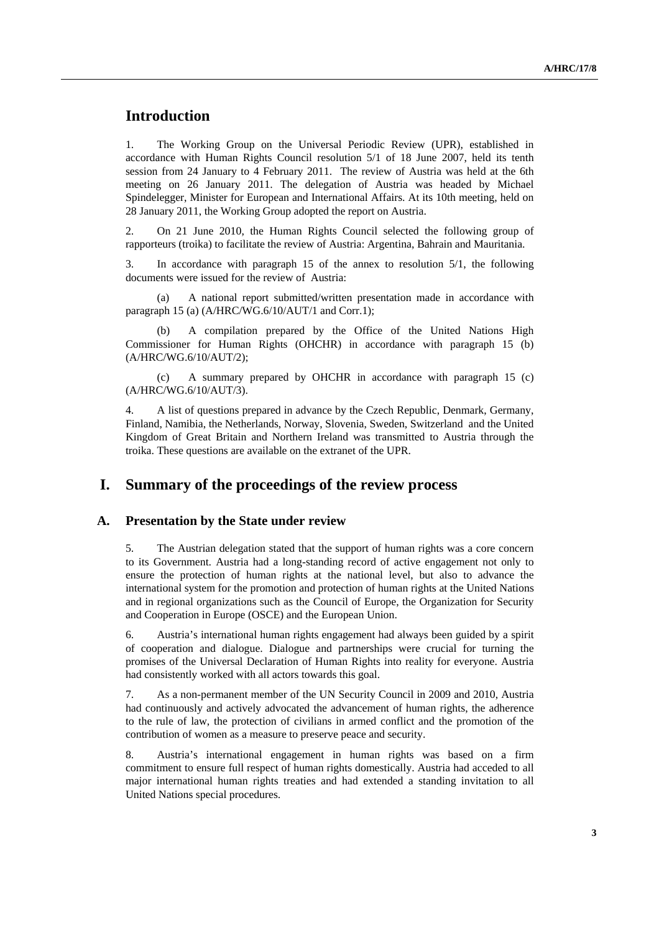# **Introduction**

1. The Working Group on the Universal Periodic Review (UPR), established in accordance with Human Rights Council resolution 5/1 of 18 June 2007, held its tenth session from 24 January to 4 February 2011. The review of Austria was held at the 6th meeting on 26 January 2011. The delegation of Austria was headed by Michael Spindelegger, Minister for European and International Affairs. At its 10th meeting, held on 28 January 2011, the Working Group adopted the report on Austria.

2. On 21 June 2010, the Human Rights Council selected the following group of rapporteurs (troika) to facilitate the review of Austria: Argentina, Bahrain and Mauritania.

3. In accordance with paragraph 15 of the annex to resolution 5/1, the following documents were issued for the review of Austria:

A national report submitted/written presentation made in accordance with paragraph 15 (a) (A/HRC/WG.6/10/AUT/1 and Corr.1);

 (b) A compilation prepared by the Office of the United Nations High Commissioner for Human Rights (OHCHR) in accordance with paragraph 15 (b) (A/HRC/WG.6/10/AUT/2);

 (c) A summary prepared by OHCHR in accordance with paragraph 15 (c) (A/HRC/WG.6/10/AUT/3).

4. A list of questions prepared in advance by the Czech Republic, Denmark, Germany, Finland, Namibia, the Netherlands, Norway, Slovenia, Sweden, Switzerland and the United Kingdom of Great Britain and Northern Ireland was transmitted to Austria through the troika. These questions are available on the extranet of the UPR.

# **I. Summary of the proceedings of the review process**

#### **A. Presentation by the State under review**

5. The Austrian delegation stated that the support of human rights was a core concern to its Government. Austria had a long-standing record of active engagement not only to ensure the protection of human rights at the national level, but also to advance the international system for the promotion and protection of human rights at the United Nations and in regional organizations such as the Council of Europe, the Organization for Security and Cooperation in Europe (OSCE) and the European Union.

6. Austria's international human rights engagement had always been guided by a spirit of cooperation and dialogue. Dialogue and partnerships were crucial for turning the promises of the Universal Declaration of Human Rights into reality for everyone. Austria had consistently worked with all actors towards this goal.

7. As a non-permanent member of the UN Security Council in 2009 and 2010, Austria had continuously and actively advocated the advancement of human rights, the adherence to the rule of law, the protection of civilians in armed conflict and the promotion of the contribution of women as a measure to preserve peace and security.

8. Austria's international engagement in human rights was based on a firm commitment to ensure full respect of human rights domestically. Austria had acceded to all major international human rights treaties and had extended a standing invitation to all United Nations special procedures.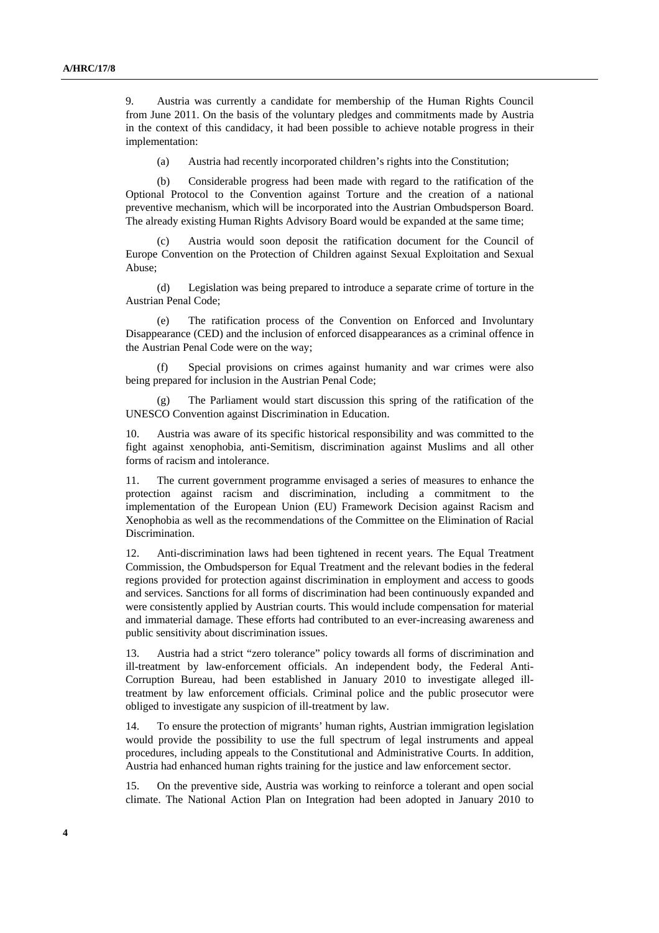9. Austria was currently a candidate for membership of the Human Rights Council from June 2011. On the basis of the voluntary pledges and commitments made by Austria in the context of this candidacy, it had been possible to achieve notable progress in their implementation:

(a) Austria had recently incorporated children's rights into the Constitution;

 (b) Considerable progress had been made with regard to the ratification of the Optional Protocol to the Convention against Torture and the creation of a national preventive mechanism, which will be incorporated into the Austrian Ombudsperson Board. The already existing Human Rights Advisory Board would be expanded at the same time;

 (c) Austria would soon deposit the ratification document for the Council of Europe Convention on the Protection of Children against Sexual Exploitation and Sexual Abuse;

 (d) Legislation was being prepared to introduce a separate crime of torture in the Austrian Penal Code;

The ratification process of the Convention on Enforced and Involuntary Disappearance (CED) and the inclusion of enforced disappearances as a criminal offence in the Austrian Penal Code were on the way;

Special provisions on crimes against humanity and war crimes were also being prepared for inclusion in the Austrian Penal Code;

 (g) The Parliament would start discussion this spring of the ratification of the UNESCO Convention against Discrimination in Education.

10. Austria was aware of its specific historical responsibility and was committed to the fight against xenophobia, anti-Semitism, discrimination against Muslims and all other forms of racism and intolerance.

11. The current government programme envisaged a series of measures to enhance the protection against racism and discrimination, including a commitment to the implementation of the European Union (EU) Framework Decision against Racism and Xenophobia as well as the recommendations of the Committee on the Elimination of Racial Discrimination.

12. Anti-discrimination laws had been tightened in recent years. The Equal Treatment Commission, the Ombudsperson for Equal Treatment and the relevant bodies in the federal regions provided for protection against discrimination in employment and access to goods and services. Sanctions for all forms of discrimination had been continuously expanded and were consistently applied by Austrian courts. This would include compensation for material and immaterial damage. These efforts had contributed to an ever-increasing awareness and public sensitivity about discrimination issues.

13. Austria had a strict "zero tolerance" policy towards all forms of discrimination and ill-treatment by law-enforcement officials. An independent body, the Federal Anti-Corruption Bureau, had been established in January 2010 to investigate alleged illtreatment by law enforcement officials. Criminal police and the public prosecutor were obliged to investigate any suspicion of ill-treatment by law.

14. To ensure the protection of migrants' human rights, Austrian immigration legislation would provide the possibility to use the full spectrum of legal instruments and appeal procedures, including appeals to the Constitutional and Administrative Courts. In addition, Austria had enhanced human rights training for the justice and law enforcement sector.

15. On the preventive side, Austria was working to reinforce a tolerant and open social climate. The National Action Plan on Integration had been adopted in January 2010 to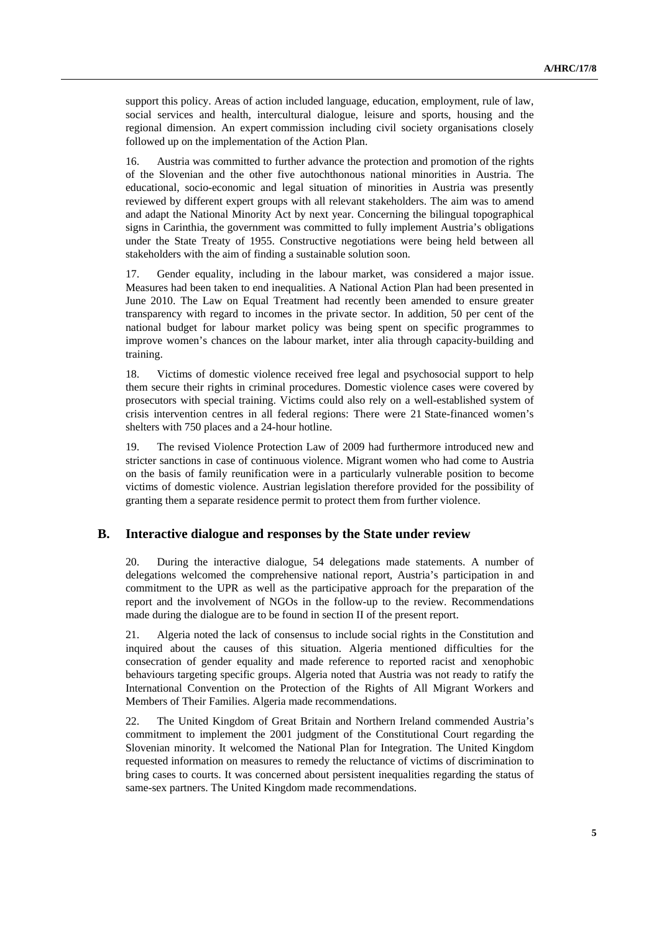support this policy. Areas of action included language, education, employment, rule of law, social services and health, intercultural dialogue, leisure and sports, housing and the regional dimension. An expert commission including civil society organisations closely followed up on the implementation of the Action Plan.

16. Austria was committed to further advance the protection and promotion of the rights of the Slovenian and the other five autochthonous national minorities in Austria. The educational, socio-economic and legal situation of minorities in Austria was presently reviewed by different expert groups with all relevant stakeholders. The aim was to amend and adapt the National Minority Act by next year. Concerning the bilingual topographical signs in Carinthia, the government was committed to fully implement Austria's obligations under the State Treaty of 1955. Constructive negotiations were being held between all stakeholders with the aim of finding a sustainable solution soon.

17. Gender equality, including in the labour market, was considered a major issue. Measures had been taken to end inequalities. A National Action Plan had been presented in June 2010. The Law on Equal Treatment had recently been amended to ensure greater transparency with regard to incomes in the private sector. In addition, 50 per cent of the national budget for labour market policy was being spent on specific programmes to improve women's chances on the labour market, inter alia through capacity-building and training.

18. Victims of domestic violence received free legal and psychosocial support to help them secure their rights in criminal procedures. Domestic violence cases were covered by prosecutors with special training. Victims could also rely on a well-established system of crisis intervention centres in all federal regions: There were 21 State-financed women's shelters with 750 places and a 24-hour hotline.

19. The revised Violence Protection Law of 2009 had furthermore introduced new and stricter sanctions in case of continuous violence. Migrant women who had come to Austria on the basis of family reunification were in a particularly vulnerable position to become victims of domestic violence. Austrian legislation therefore provided for the possibility of granting them a separate residence permit to protect them from further violence.

#### **B. Interactive dialogue and responses by the State under review**

20. During the interactive dialogue, 54 delegations made statements. A number of delegations welcomed the comprehensive national report, Austria's participation in and commitment to the UPR as well as the participative approach for the preparation of the report and the involvement of NGOs in the follow-up to the review. Recommendations made during the dialogue are to be found in section II of the present report.

21. Algeria noted the lack of consensus to include social rights in the Constitution and inquired about the causes of this situation. Algeria mentioned difficulties for the consecration of gender equality and made reference to reported racist and xenophobic behaviours targeting specific groups. Algeria noted that Austria was not ready to ratify the International Convention on the Protection of the Rights of All Migrant Workers and Members of Their Families. Algeria made recommendations.

22. The United Kingdom of Great Britain and Northern Ireland commended Austria's commitment to implement the 2001 judgment of the Constitutional Court regarding the Slovenian minority. It welcomed the National Plan for Integration. The United Kingdom requested information on measures to remedy the reluctance of victims of discrimination to bring cases to courts. It was concerned about persistent inequalities regarding the status of same-sex partners. The United Kingdom made recommendations.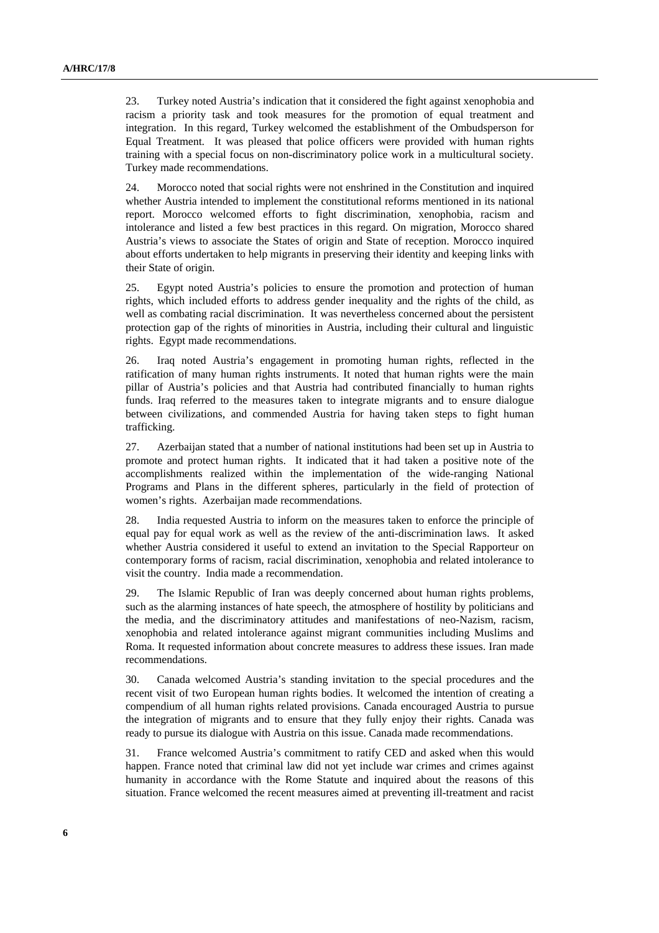23. Turkey noted Austria's indication that it considered the fight against xenophobia and racism a priority task and took measures for the promotion of equal treatment and integration. In this regard, Turkey welcomed the establishment of the Ombudsperson for Equal Treatment. It was pleased that police officers were provided with human rights training with a special focus on non-discriminatory police work in a multicultural society. Turkey made recommendations.

24. Morocco noted that social rights were not enshrined in the Constitution and inquired whether Austria intended to implement the constitutional reforms mentioned in its national report. Morocco welcomed efforts to fight discrimination, xenophobia, racism and intolerance and listed a few best practices in this regard. On migration, Morocco shared Austria's views to associate the States of origin and State of reception. Morocco inquired about efforts undertaken to help migrants in preserving their identity and keeping links with their State of origin.

25. Egypt noted Austria's policies to ensure the promotion and protection of human rights, which included efforts to address gender inequality and the rights of the child, as well as combating racial discrimination. It was nevertheless concerned about the persistent protection gap of the rights of minorities in Austria, including their cultural and linguistic rights. Egypt made recommendations.

26. Iraq noted Austria's engagement in promoting human rights, reflected in the ratification of many human rights instruments. It noted that human rights were the main pillar of Austria's policies and that Austria had contributed financially to human rights funds. Iraq referred to the measures taken to integrate migrants and to ensure dialogue between civilizations, and commended Austria for having taken steps to fight human trafficking.

27. Azerbaijan stated that a number of national institutions had been set up in Austria to promote and protect human rights. It indicated that it had taken a positive note of the accomplishments realized within the implementation of the wide-ranging National Programs and Plans in the different spheres, particularly in the field of protection of women's rights. Azerbaijan made recommendations.

28. India requested Austria to inform on the measures taken to enforce the principle of equal pay for equal work as well as the review of the anti-discrimination laws. It asked whether Austria considered it useful to extend an invitation to the Special Rapporteur on contemporary forms of racism, racial discrimination, xenophobia and related intolerance to visit the country. India made a recommendation.

29. The Islamic Republic of Iran was deeply concerned about human rights problems, such as the alarming instances of hate speech, the atmosphere of hostility by politicians and the media, and the discriminatory attitudes and manifestations of neo-Nazism, racism, xenophobia and related intolerance against migrant communities including Muslims and Roma. It requested information about concrete measures to address these issues. Iran made recommendations.

30. Canada welcomed Austria's standing invitation to the special procedures and the recent visit of two European human rights bodies. It welcomed the intention of creating a compendium of all human rights related provisions. Canada encouraged Austria to pursue the integration of migrants and to ensure that they fully enjoy their rights. Canada was ready to pursue its dialogue with Austria on this issue. Canada made recommendations.

31. France welcomed Austria's commitment to ratify CED and asked when this would happen. France noted that criminal law did not yet include war crimes and crimes against humanity in accordance with the Rome Statute and inquired about the reasons of this situation. France welcomed the recent measures aimed at preventing ill-treatment and racist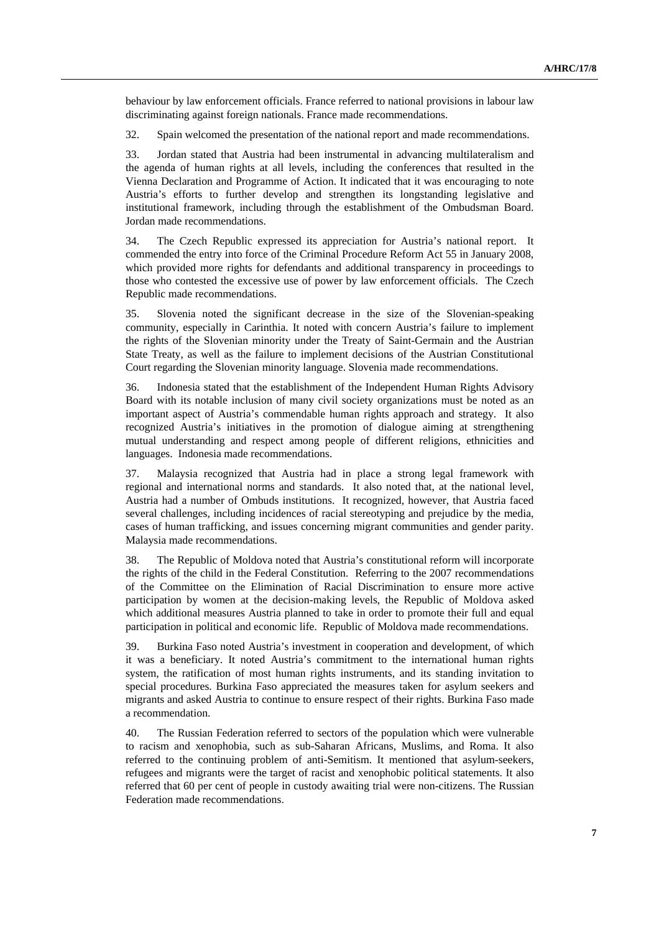behaviour by law enforcement officials. France referred to national provisions in labour law discriminating against foreign nationals. France made recommendations.

32. Spain welcomed the presentation of the national report and made recommendations.

33. Jordan stated that Austria had been instrumental in advancing multilateralism and the agenda of human rights at all levels, including the conferences that resulted in the Vienna Declaration and Programme of Action. It indicated that it was encouraging to note Austria's efforts to further develop and strengthen its longstanding legislative and institutional framework, including through the establishment of the Ombudsman Board. Jordan made recommendations.

34. The Czech Republic expressed its appreciation for Austria's national report. It commended the entry into force of the Criminal Procedure Reform Act 55 in January 2008, which provided more rights for defendants and additional transparency in proceedings to those who contested the excessive use of power by law enforcement officials. The Czech Republic made recommendations.

35. Slovenia noted the significant decrease in the size of the Slovenian-speaking community, especially in Carinthia. It noted with concern Austria's failure to implement the rights of the Slovenian minority under the Treaty of Saint-Germain and the Austrian State Treaty, as well as the failure to implement decisions of the Austrian Constitutional Court regarding the Slovenian minority language. Slovenia made recommendations.

36. Indonesia stated that the establishment of the Independent Human Rights Advisory Board with its notable inclusion of many civil society organizations must be noted as an important aspect of Austria's commendable human rights approach and strategy. It also recognized Austria's initiatives in the promotion of dialogue aiming at strengthening mutual understanding and respect among people of different religions, ethnicities and languages. Indonesia made recommendations.

37. Malaysia recognized that Austria had in place a strong legal framework with regional and international norms and standards. It also noted that, at the national level, Austria had a number of Ombuds institutions. It recognized, however, that Austria faced several challenges, including incidences of racial stereotyping and prejudice by the media, cases of human trafficking, and issues concerning migrant communities and gender parity. Malaysia made recommendations.

38. The Republic of Moldova noted that Austria's constitutional reform will incorporate the rights of the child in the Federal Constitution. Referring to the 2007 recommendations of the Committee on the Elimination of Racial Discrimination to ensure more active participation by women at the decision-making levels, the Republic of Moldova asked which additional measures Austria planned to take in order to promote their full and equal participation in political and economic life. Republic of Moldova made recommendations.

39. Burkina Faso noted Austria's investment in cooperation and development, of which it was a beneficiary. It noted Austria's commitment to the international human rights system, the ratification of most human rights instruments, and its standing invitation to special procedures. Burkina Faso appreciated the measures taken for asylum seekers and migrants and asked Austria to continue to ensure respect of their rights. Burkina Faso made a recommendation.

40. The Russian Federation referred to sectors of the population which were vulnerable to racism and xenophobia, such as sub-Saharan Africans, Muslims, and Roma. It also referred to the continuing problem of anti-Semitism. It mentioned that asylum-seekers, refugees and migrants were the target of racist and xenophobic political statements. It also referred that 60 per cent of people in custody awaiting trial were non-citizens. The Russian Federation made recommendations.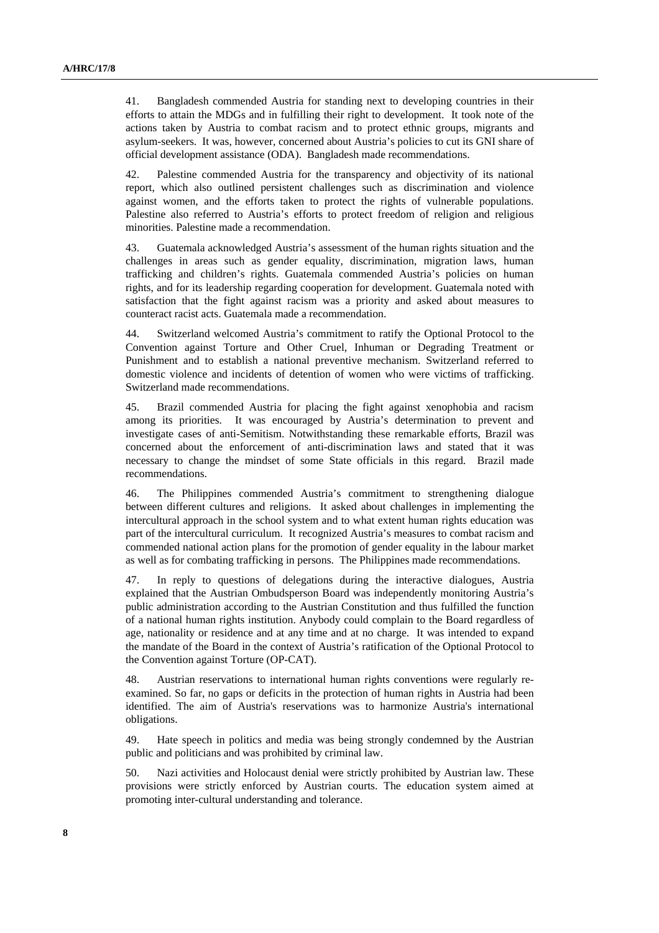41. Bangladesh commended Austria for standing next to developing countries in their efforts to attain the MDGs and in fulfilling their right to development. It took note of the actions taken by Austria to combat racism and to protect ethnic groups, migrants and asylum-seekers. It was, however, concerned about Austria's policies to cut its GNI share of official development assistance (ODA). Bangladesh made recommendations.

42. Palestine commended Austria for the transparency and objectivity of its national report, which also outlined persistent challenges such as discrimination and violence against women, and the efforts taken to protect the rights of vulnerable populations. Palestine also referred to Austria's efforts to protect freedom of religion and religious minorities. Palestine made a recommendation.

43. Guatemala acknowledged Austria's assessment of the human rights situation and the challenges in areas such as gender equality, discrimination, migration laws, human trafficking and children's rights. Guatemala commended Austria's policies on human rights, and for its leadership regarding cooperation for development. Guatemala noted with satisfaction that the fight against racism was a priority and asked about measures to counteract racist acts. Guatemala made a recommendation.

44. Switzerland welcomed Austria's commitment to ratify the Optional Protocol to the Convention against Torture and Other Cruel, Inhuman or Degrading Treatment or Punishment and to establish a national preventive mechanism. Switzerland referred to domestic violence and incidents of detention of women who were victims of trafficking. Switzerland made recommendations.

45. Brazil commended Austria for placing the fight against xenophobia and racism among its priorities. It was encouraged by Austria's determination to prevent and investigate cases of anti-Semitism. Notwithstanding these remarkable efforts, Brazil was concerned about the enforcement of anti-discrimination laws and stated that it was necessary to change the mindset of some State officials in this regard. Brazil made recommendations.

46. The Philippines commended Austria's commitment to strengthening dialogue between different cultures and religions. It asked about challenges in implementing the intercultural approach in the school system and to what extent human rights education was part of the intercultural curriculum. It recognized Austria's measures to combat racism and commended national action plans for the promotion of gender equality in the labour market as well as for combating trafficking in persons. The Philippines made recommendations.

47. In reply to questions of delegations during the interactive dialogues, Austria explained that the Austrian Ombudsperson Board was independently monitoring Austria's public administration according to the Austrian Constitution and thus fulfilled the function of a national human rights institution. Anybody could complain to the Board regardless of age, nationality or residence and at any time and at no charge. It was intended to expand the mandate of the Board in the context of Austria's ratification of the Optional Protocol to the Convention against Torture (OP-CAT).

48. Austrian reservations to international human rights conventions were regularly reexamined. So far, no gaps or deficits in the protection of human rights in Austria had been identified. The aim of Austria's reservations was to harmonize Austria's international obligations.

49. Hate speech in politics and media was being strongly condemned by the Austrian public and politicians and was prohibited by criminal law.

50. Nazi activities and Holocaust denial were strictly prohibited by Austrian law. These provisions were strictly enforced by Austrian courts. The education system aimed at promoting inter-cultural understanding and tolerance.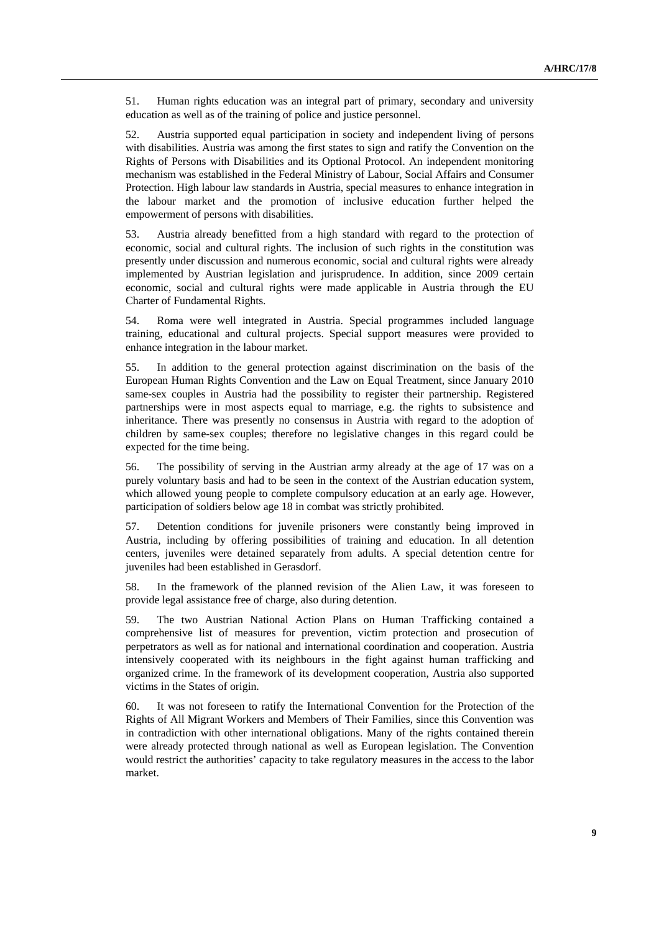51. Human rights education was an integral part of primary, secondary and university education as well as of the training of police and justice personnel.

52. Austria supported equal participation in society and independent living of persons with disabilities. Austria was among the first states to sign and ratify the Convention on the Rights of Persons with Disabilities and its Optional Protocol. An independent monitoring mechanism was established in the Federal Ministry of Labour, Social Affairs and Consumer Protection. High labour law standards in Austria, special measures to enhance integration in the labour market and the promotion of inclusive education further helped the empowerment of persons with disabilities.

53. Austria already benefitted from a high standard with regard to the protection of economic, social and cultural rights. The inclusion of such rights in the constitution was presently under discussion and numerous economic, social and cultural rights were already implemented by Austrian legislation and jurisprudence. In addition, since 2009 certain economic, social and cultural rights were made applicable in Austria through the EU Charter of Fundamental Rights.

54. Roma were well integrated in Austria. Special programmes included language training, educational and cultural projects. Special support measures were provided to enhance integration in the labour market.

55. In addition to the general protection against discrimination on the basis of the European Human Rights Convention and the Law on Equal Treatment, since January 2010 same-sex couples in Austria had the possibility to register their partnership. Registered partnerships were in most aspects equal to marriage, e.g. the rights to subsistence and inheritance. There was presently no consensus in Austria with regard to the adoption of children by same-sex couples; therefore no legislative changes in this regard could be expected for the time being.

56. The possibility of serving in the Austrian army already at the age of 17 was on a purely voluntary basis and had to be seen in the context of the Austrian education system, which allowed young people to complete compulsory education at an early age. However, participation of soldiers below age 18 in combat was strictly prohibited.

57. Detention conditions for juvenile prisoners were constantly being improved in Austria, including by offering possibilities of training and education. In all detention centers, juveniles were detained separately from adults. A special detention centre for juveniles had been established in Gerasdorf.

58. In the framework of the planned revision of the Alien Law, it was foreseen to provide legal assistance free of charge, also during detention.

59. The two Austrian National Action Plans on Human Trafficking contained a comprehensive list of measures for prevention, victim protection and prosecution of perpetrators as well as for national and international coordination and cooperation. Austria intensively cooperated with its neighbours in the fight against human trafficking and organized crime. In the framework of its development cooperation, Austria also supported victims in the States of origin.

60. It was not foreseen to ratify the International Convention for the Protection of the Rights of All Migrant Workers and Members of Their Families, since this Convention was in contradiction with other international obligations. Many of the rights contained therein were already protected through national as well as European legislation. The Convention would restrict the authorities' capacity to take regulatory measures in the access to the labor market.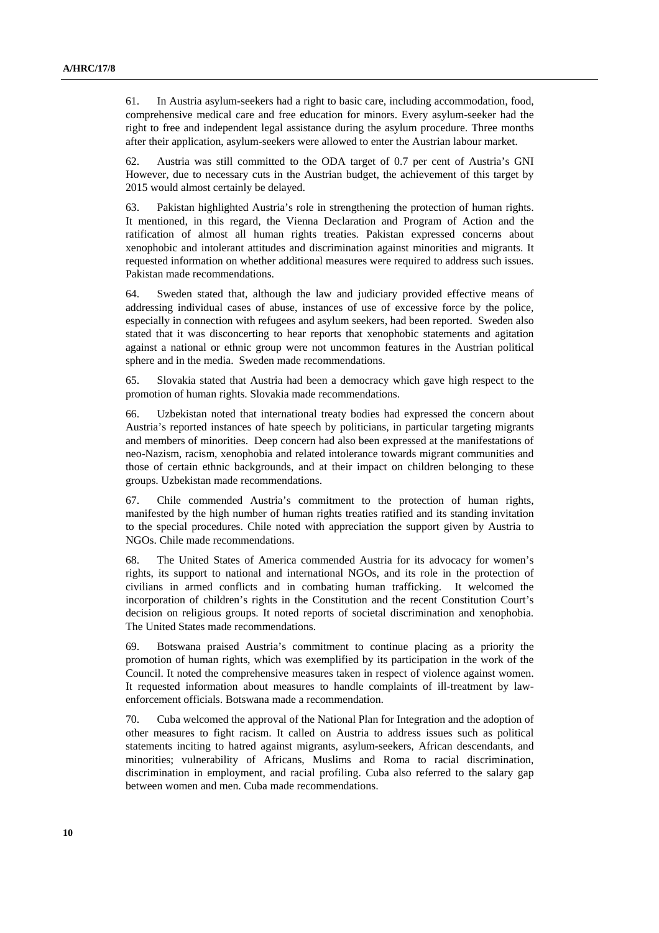61. In Austria asylum-seekers had a right to basic care, including accommodation, food, comprehensive medical care and free education for minors. Every asylum-seeker had the right to free and independent legal assistance during the asylum procedure. Three months after their application, asylum-seekers were allowed to enter the Austrian labour market.

62. Austria was still committed to the ODA target of 0.7 per cent of Austria's GNI However, due to necessary cuts in the Austrian budget, the achievement of this target by 2015 would almost certainly be delayed.

63. Pakistan highlighted Austria's role in strengthening the protection of human rights. It mentioned, in this regard, the Vienna Declaration and Program of Action and the ratification of almost all human rights treaties. Pakistan expressed concerns about xenophobic and intolerant attitudes and discrimination against minorities and migrants. It requested information on whether additional measures were required to address such issues. Pakistan made recommendations.

64. Sweden stated that, although the law and judiciary provided effective means of addressing individual cases of abuse, instances of use of excessive force by the police, especially in connection with refugees and asylum seekers, had been reported. Sweden also stated that it was disconcerting to hear reports that xenophobic statements and agitation against a national or ethnic group were not uncommon features in the Austrian political sphere and in the media. Sweden made recommendations.

65. Slovakia stated that Austria had been a democracy which gave high respect to the promotion of human rights. Slovakia made recommendations.

66. Uzbekistan noted that international treaty bodies had expressed the concern about Austria's reported instances of hate speech by politicians, in particular targeting migrants and members of minorities. Deep concern had also been expressed at the manifestations of neo-Nazism, racism, xenophobia and related intolerance towards migrant communities and those of certain ethnic backgrounds, and at their impact on children belonging to these groups. Uzbekistan made recommendations.

67. Chile commended Austria's commitment to the protection of human rights, manifested by the high number of human rights treaties ratified and its standing invitation to the special procedures. Chile noted with appreciation the support given by Austria to NGOs. Chile made recommendations.

68. The United States of America commended Austria for its advocacy for women's rights, its support to national and international NGOs, and its role in the protection of civilians in armed conflicts and in combating human trafficking. It welcomed the incorporation of children's rights in the Constitution and the recent Constitution Court's decision on religious groups. It noted reports of societal discrimination and xenophobia. The United States made recommendations.

69. Botswana praised Austria's commitment to continue placing as a priority the promotion of human rights, which was exemplified by its participation in the work of the Council. It noted the comprehensive measures taken in respect of violence against women. It requested information about measures to handle complaints of ill-treatment by lawenforcement officials. Botswana made a recommendation.

70. Cuba welcomed the approval of the National Plan for Integration and the adoption of other measures to fight racism. It called on Austria to address issues such as political statements inciting to hatred against migrants, asylum-seekers, African descendants, and minorities; vulnerability of Africans, Muslims and Roma to racial discrimination, discrimination in employment, and racial profiling. Cuba also referred to the salary gap between women and men. Cuba made recommendations.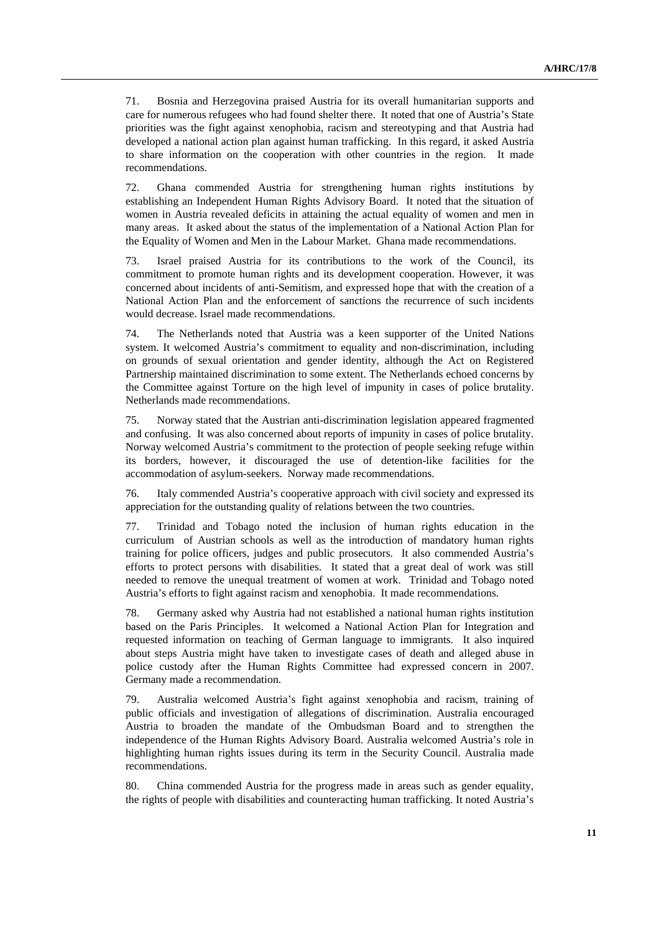71. Bosnia and Herzegovina praised Austria for its overall humanitarian supports and care for numerous refugees who had found shelter there. It noted that one of Austria's State priorities was the fight against xenophobia, racism and stereotyping and that Austria had developed a national action plan against human trafficking. In this regard, it asked Austria to share information on the cooperation with other countries in the region. It made recommendations.

72. Ghana commended Austria for strengthening human rights institutions by establishing an Independent Human Rights Advisory Board. It noted that the situation of women in Austria revealed deficits in attaining the actual equality of women and men in many areas. It asked about the status of the implementation of a National Action Plan for the Equality of Women and Men in the Labour Market. Ghana made recommendations.

73. Israel praised Austria for its contributions to the work of the Council, its commitment to promote human rights and its development cooperation. However, it was concerned about incidents of anti-Semitism, and expressed hope that with the creation of a National Action Plan and the enforcement of sanctions the recurrence of such incidents would decrease. Israel made recommendations.

74. The Netherlands noted that Austria was a keen supporter of the United Nations system. It welcomed Austria's commitment to equality and non-discrimination, including on grounds of sexual orientation and gender identity, although the Act on Registered Partnership maintained discrimination to some extent. The Netherlands echoed concerns by the Committee against Torture on the high level of impunity in cases of police brutality. Netherlands made recommendations.

75. Norway stated that the Austrian anti-discrimination legislation appeared fragmented and confusing. It was also concerned about reports of impunity in cases of police brutality. Norway welcomed Austria's commitment to the protection of people seeking refuge within its borders, however, it discouraged the use of detention-like facilities for the accommodation of asylum-seekers. Norway made recommendations.

76. Italy commended Austria's cooperative approach with civil society and expressed its appreciation for the outstanding quality of relations between the two countries.

77. Trinidad and Tobago noted the inclusion of human rights education in the curriculum of Austrian schools as well as the introduction of mandatory human rights training for police officers, judges and public prosecutors. It also commended Austria's efforts to protect persons with disabilities. It stated that a great deal of work was still needed to remove the unequal treatment of women at work. Trinidad and Tobago noted Austria's efforts to fight against racism and xenophobia. It made recommendations.

78. Germany asked why Austria had not established a national human rights institution based on the Paris Principles. It welcomed a National Action Plan for Integration and requested information on teaching of German language to immigrants. It also inquired about steps Austria might have taken to investigate cases of death and alleged abuse in police custody after the Human Rights Committee had expressed concern in 2007. Germany made a recommendation.

79. Australia welcomed Austria's fight against xenophobia and racism, training of public officials and investigation of allegations of discrimination. Australia encouraged Austria to broaden the mandate of the Ombudsman Board and to strengthen the independence of the Human Rights Advisory Board. Australia welcomed Austria's role in highlighting human rights issues during its term in the Security Council. Australia made recommendations.

80. China commended Austria for the progress made in areas such as gender equality, the rights of people with disabilities and counteracting human trafficking. It noted Austria's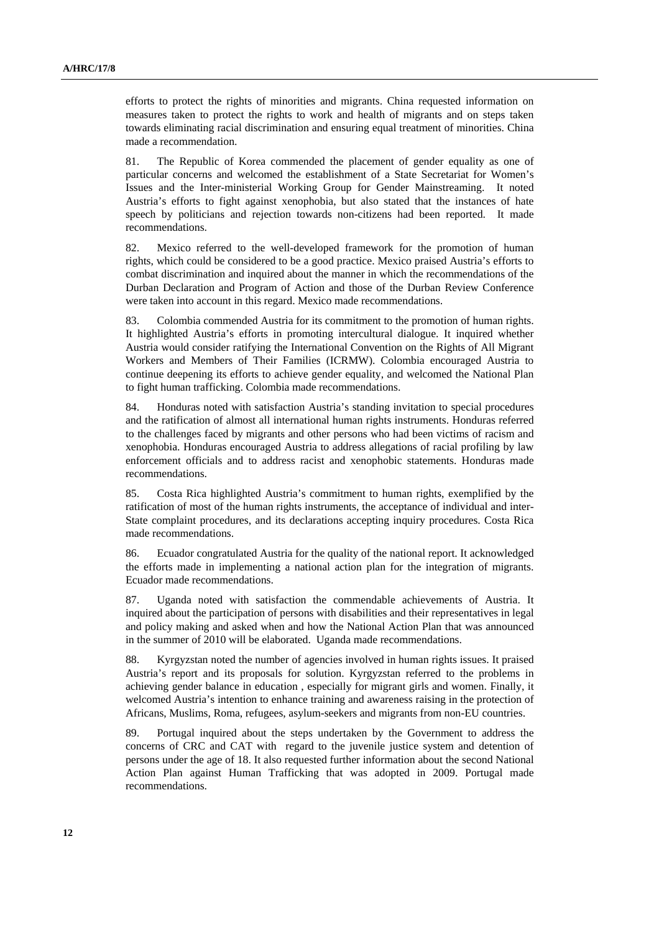efforts to protect the rights of minorities and migrants. China requested information on measures taken to protect the rights to work and health of migrants and on steps taken towards eliminating racial discrimination and ensuring equal treatment of minorities. China made a recommendation.

81. The Republic of Korea commended the placement of gender equality as one of particular concerns and welcomed the establishment of a State Secretariat for Women's Issues and the Inter-ministerial Working Group for Gender Mainstreaming. It noted Austria's efforts to fight against xenophobia, but also stated that the instances of hate speech by politicians and rejection towards non-citizens had been reported. It made recommendations.

82. Mexico referred to the well-developed framework for the promotion of human rights, which could be considered to be a good practice. Mexico praised Austria's efforts to combat discrimination and inquired about the manner in which the recommendations of the Durban Declaration and Program of Action and those of the Durban Review Conference were taken into account in this regard. Mexico made recommendations.

83. Colombia commended Austria for its commitment to the promotion of human rights. It highlighted Austria's efforts in promoting intercultural dialogue. It inquired whether Austria would consider ratifying the International Convention on the Rights of All Migrant Workers and Members of Their Families (ICRMW). Colombia encouraged Austria to continue deepening its efforts to achieve gender equality, and welcomed the National Plan to fight human trafficking. Colombia made recommendations.

84. Honduras noted with satisfaction Austria's standing invitation to special procedures and the ratification of almost all international human rights instruments. Honduras referred to the challenges faced by migrants and other persons who had been victims of racism and xenophobia. Honduras encouraged Austria to address allegations of racial profiling by law enforcement officials and to address racist and xenophobic statements. Honduras made recommendations.

85. Costa Rica highlighted Austria's commitment to human rights, exemplified by the ratification of most of the human rights instruments, the acceptance of individual and inter-State complaint procedures, and its declarations accepting inquiry procedures. Costa Rica made recommendations.

86. Ecuador congratulated Austria for the quality of the national report. It acknowledged the efforts made in implementing a national action plan for the integration of migrants. Ecuador made recommendations.

87. Uganda noted with satisfaction the commendable achievements of Austria. It inquired about the participation of persons with disabilities and their representatives in legal and policy making and asked when and how the National Action Plan that was announced in the summer of 2010 will be elaborated. Uganda made recommendations.

88. Kyrgyzstan noted the number of agencies involved in human rights issues. It praised Austria's report and its proposals for solution. Kyrgyzstan referred to the problems in achieving gender balance in education , especially for migrant girls and women. Finally, it welcomed Austria's intention to enhance training and awareness raising in the protection of Africans, Muslims, Roma, refugees, asylum-seekers and migrants from non-EU countries.

89. Portugal inquired about the steps undertaken by the Government to address the concerns of CRC and CAT with regard to the juvenile justice system and detention of persons under the age of 18. It also requested further information about the second National Action Plan against Human Trafficking that was adopted in 2009. Portugal made recommendations.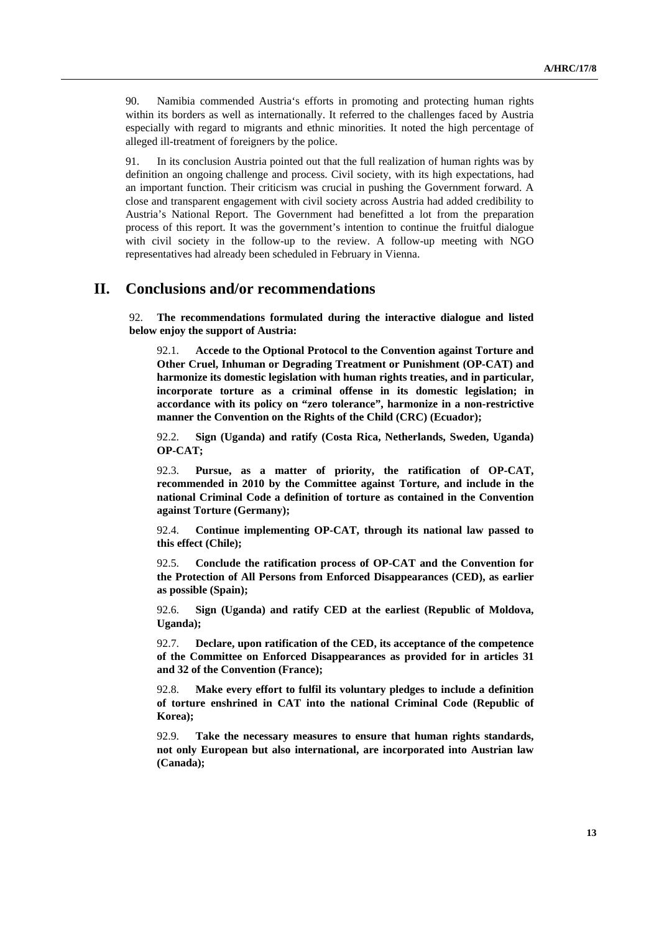90. Namibia commended Austria's efforts in promoting and protecting human rights within its borders as well as internationally. It referred to the challenges faced by Austria especially with regard to migrants and ethnic minorities. It noted the high percentage of alleged ill-treatment of foreigners by the police.

91. In its conclusion Austria pointed out that the full realization of human rights was by definition an ongoing challenge and process. Civil society, with its high expectations, had an important function. Their criticism was crucial in pushing the Government forward. A close and transparent engagement with civil society across Austria had added credibility to Austria's National Report. The Government had benefitted a lot from the preparation process of this report. It was the government's intention to continue the fruitful dialogue with civil society in the follow-up to the review. A follow-up meeting with NGO representatives had already been scheduled in February in Vienna.

### **II. Conclusions and/or recommendations**

92. **The recommendations formulated during the interactive dialogue and listed below enjoy the support of Austria:**

92.1. **Accede to the Optional Protocol to the Convention against Torture and Other Cruel, Inhuman or Degrading Treatment or Punishment (OP-CAT) and harmonize its domestic legislation with human rights treaties, and in particular, incorporate torture as a criminal offense in its domestic legislation; in accordance with its policy on "zero tolerance", harmonize in a non-restrictive manner the Convention on the Rights of the Child (CRC) (Ecuador);**

92.2. **Sign (Uganda) and ratify (Costa Rica, Netherlands, Sweden, Uganda) OP-CAT;**

92.3. **Pursue, as a matter of priority, the ratification of OP-CAT, recommended in 2010 by the Committee against Torture, and include in the national Criminal Code a definition of torture as contained in the Convention against Torture (Germany);**

92.4. **Continue implementing OP-CAT, through its national law passed to this effect (Chile);**

92.5. **Conclude the ratification process of OP-CAT and the Convention for the Protection of All Persons from Enforced Disappearances (CED), as earlier as possible (Spain);**

92.6. **Sign (Uganda) and ratify CED at the earliest (Republic of Moldova, Uganda);**

92.7. **Declare, upon ratification of the CED, its acceptance of the competence of the Committee on Enforced Disappearances as provided for in articles 31 and 32 of the Convention (France);**

92.8. **Make every effort to fulfil its voluntary pledges to include a definition of torture enshrined in CAT into the national Criminal Code (Republic of Korea);**

92.9. **Take the necessary measures to ensure that human rights standards, not only European but also international, are incorporated into Austrian law (Canada);**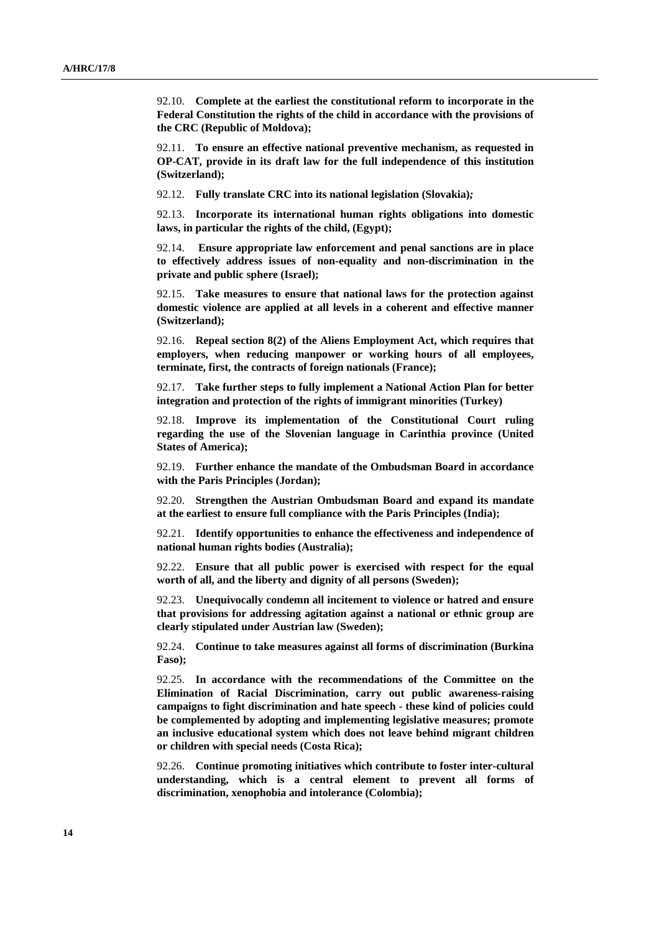92.10. **Complete at the earliest the constitutional reform to incorporate in the Federal Constitution the rights of the child in accordance with the provisions of the CRC (Republic of Moldova);**

92.11. **To ensure an effective national preventive mechanism, as requested in OP-CAT, provide in its draft law for the full independence of this institution (Switzerland);**

92.12. **Fully translate CRC into its national legislation (Slovakia)***;*

92.13. **Incorporate its international human rights obligations into domestic laws, in particular the rights of the child, (Egypt);**

92.14. **Ensure appropriate law enforcement and penal sanctions are in place to effectively address issues of non-equality and non-discrimination in the private and public sphere (Israel);**

92.15. **Take measures to ensure that national laws for the protection against domestic violence are applied at all levels in a coherent and effective manner (Switzerland);**

92.16. **Repeal section 8(2) of the Aliens Employment Act, which requires that employers, when reducing manpower or working hours of all employees, terminate, first, the contracts of foreign nationals (France);**

92.17. **Take further steps to fully implement a National Action Plan for better integration and protection of the rights of immigrant minorities (Turkey)**

92.18. **Improve its implementation of the Constitutional Court ruling regarding the use of the Slovenian language in Carinthia province (United States of America);**

92.19. **Further enhance the mandate of the Ombudsman Board in accordance with the Paris Principles (Jordan);**

92.20. **Strengthen the Austrian Ombudsman Board and expand its mandate at the earliest to ensure full compliance with the Paris Principles (India);**

92.21. **Identify opportunities to enhance the effectiveness and independence of national human rights bodies (Australia);**

92.22. **Ensure that all public power is exercised with respect for the equal worth of all, and the liberty and dignity of all persons (Sweden);**

92.23. **Unequivocally condemn all incitement to violence or hatred and ensure that provisions for addressing agitation against a national or ethnic group are clearly stipulated under Austrian law (Sweden);**

92.24. **Continue to take measures against all forms of discrimination (Burkina Faso);**

92.25. **In accordance with the recommendations of the Committee on the Elimination of Racial Discrimination, carry out public awareness-raising campaigns to fight discrimination and hate speech - these kind of policies could be complemented by adopting and implementing legislative measures; promote an inclusive educational system which does not leave behind migrant children or children with special needs (Costa Rica);**

92.26. **Continue promoting initiatives which contribute to foster inter-cultural understanding, which is a central element to prevent all forms of discrimination, xenophobia and intolerance (Colombia);**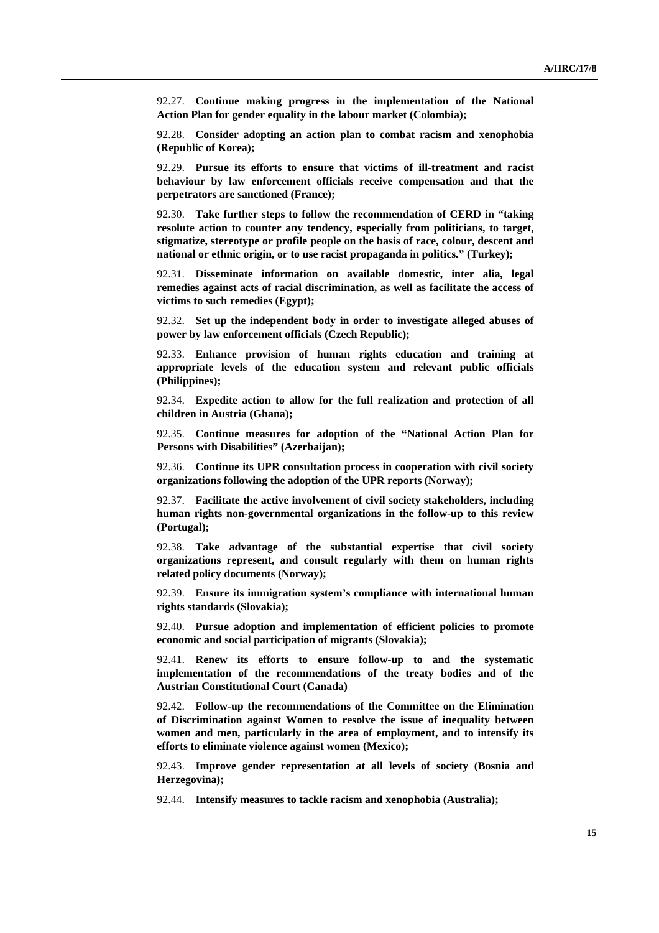92.27. **Continue making progress in the implementation of the National Action Plan for gender equality in the labour market (Colombia);**

92.28. **Consider adopting an action plan to combat racism and xenophobia (Republic of Korea);**

92.29. **Pursue its efforts to ensure that victims of ill-treatment and racist behaviour by law enforcement officials receive compensation and that the perpetrators are sanctioned (France);**

92.30. **Take further steps to follow the recommendation of CERD in "taking resolute action to counter any tendency, especially from politicians, to target, stigmatize, stereotype or profile people on the basis of race, colour, descent and national or ethnic origin, or to use racist propaganda in politics." (Turkey);**

92.31. **Disseminate information on available domestic, inter alia, legal remedies against acts of racial discrimination, as well as facilitate the access of victims to such remedies (Egypt);**

92.32. **Set up the independent body in order to investigate alleged abuses of power by law enforcement officials (Czech Republic);**

92.33. **Enhance provision of human rights education and training at appropriate levels of the education system and relevant public officials (Philippines);**

92.34. **Expedite action to allow for the full realization and protection of all children in Austria (Ghana);**

92.35. **Continue measures for adoption of the "National Action Plan for Persons with Disabilities" (Azerbaijan);**

92.36. **Continue its UPR consultation process in cooperation with civil society organizations following the adoption of the UPR reports (Norway);** 

92.37. **Facilitate the active involvement of civil society stakeholders, including human rights non-governmental organizations in the follow-up to this review (Portugal);**

92.38. **Take advantage of the substantial expertise that civil society organizations represent, and consult regularly with them on human rights related policy documents (Norway);**

92.39. **Ensure its immigration system's compliance with international human rights standards (Slovakia);**

92.40. **Pursue adoption and implementation of efficient policies to promote economic and social participation of migrants (Slovakia);**

92.41. **Renew its efforts to ensure follow-up to and the systematic implementation of the recommendations of the treaty bodies and of the Austrian Constitutional Court (Canada)**

92.42. **Follow-up the recommendations of the Committee on the Elimination of Discrimination against Women to resolve the issue of inequality between women and men, particularly in the area of employment, and to intensify its efforts to eliminate violence against women (Mexico);**

92.43. **Improve gender representation at all levels of society (Bosnia and Herzegovina);**

92.44. **Intensify measures to tackle racism and xenophobia (Australia);**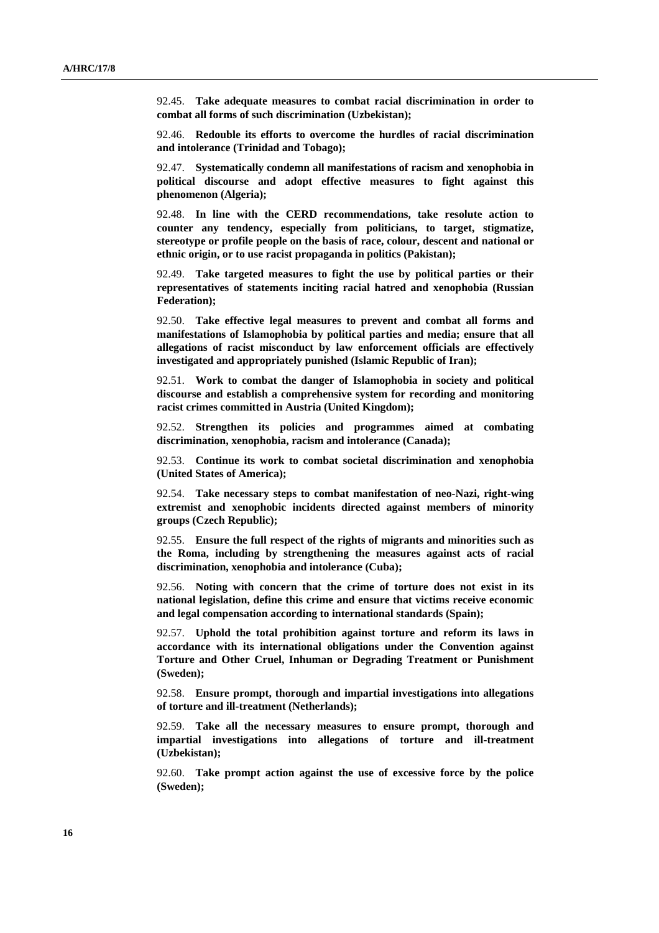92.45. **Take adequate measures to combat racial discrimination in order to combat all forms of such discrimination (Uzbekistan);**

92.46. **Redouble its efforts to overcome the hurdles of racial discrimination and intolerance (Trinidad and Tobago);**

92.47. **Systematically condemn all manifestations of racism and xenophobia in political discourse and adopt effective measures to fight against this phenomenon (Algeria);**

92.48. **In line with the CERD recommendations, take resolute action to counter any tendency, especially from politicians, to target, stigmatize, stereotype or profile people on the basis of race, colour, descent and national or ethnic origin, or to use racist propaganda in politics (Pakistan);**

92.49. **Take targeted measures to fight the use by political parties or their representatives of statements inciting racial hatred and xenophobia (Russian Federation);**

92.50. **Take effective legal measures to prevent and combat all forms and manifestations of Islamophobia by political parties and media; ensure that all allegations of racist misconduct by law enforcement officials are effectively investigated and appropriately punished (Islamic Republic of Iran);**

92.51. **Work to combat the danger of Islamophobia in society and political discourse and establish a comprehensive system for recording and monitoring racist crimes committed in Austria (United Kingdom);**

92.52. **Strengthen its policies and programmes aimed at combating discrimination, xenophobia, racism and intolerance (Canada);**

92.53. **Continue its work to combat societal discrimination and xenophobia (United States of America);**

92.54. **Take necessary steps to combat manifestation of neo-Nazi, right-wing extremist and xenophobic incidents directed against members of minority groups (Czech Republic);**

92.55. **Ensure the full respect of the rights of migrants and minorities such as the Roma, including by strengthening the measures against acts of racial discrimination, xenophobia and intolerance (Cuba);**

92.56. **Noting with concern that the crime of torture does not exist in its national legislation, define this crime and ensure that victims receive economic and legal compensation according to international standards (Spain);** 

92.57. **Uphold the total prohibition against torture and reform its laws in accordance with its international obligations under the Convention against Torture and Other Cruel, Inhuman or Degrading Treatment or Punishment (Sweden);**

92.58. **Ensure prompt, thorough and impartial investigations into allegations of torture and ill-treatment (Netherlands);**

92.59. **Take all the necessary measures to ensure prompt, thorough and impartial investigations into allegations of torture and ill-treatment (Uzbekistan);**

92.60. **Take prompt action against the use of excessive force by the police (Sweden);**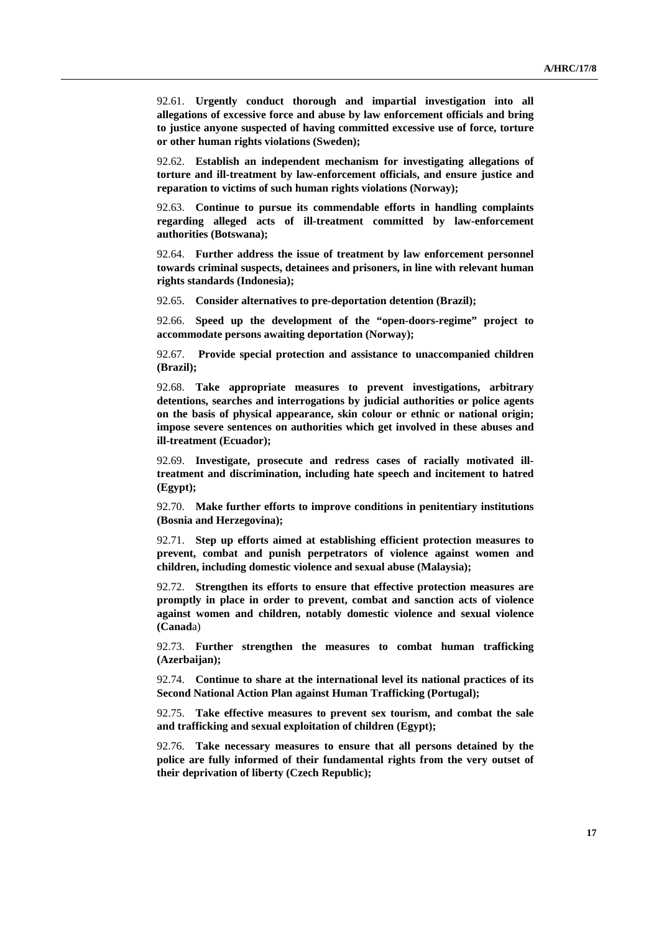92.61. **Urgently conduct thorough and impartial investigation into all allegations of excessive force and abuse by law enforcement officials and bring to justice anyone suspected of having committed excessive use of force, torture or other human rights violations (Sweden);** 

92.62. **Establish an independent mechanism for investigating allegations of torture and ill-treatment by law-enforcement officials, and ensure justice and reparation to victims of such human rights violations (Norway);**

92.63. **Continue to pursue its commendable efforts in handling complaints regarding alleged acts of ill-treatment committed by law-enforcement authorities (Botswana);**

92.64. **Further address the issue of treatment by law enforcement personnel towards criminal suspects, detainees and prisoners, in line with relevant human rights standards (Indonesia);**

92.65. **Consider alternatives to pre-deportation detention (Brazil);**

92.66. **Speed up the development of the "open-doors-regime" project to accommodate persons awaiting deportation (Norway);**

92.67. **Provide special protection and assistance to unaccompanied children (Brazil);**

92.68. **Take appropriate measures to prevent investigations, arbitrary detentions, searches and interrogations by judicial authorities or police agents on the basis of physical appearance, skin colour or ethnic or national origin; impose severe sentences on authorities which get involved in these abuses and ill-treatment (Ecuador);**

92.69. **Investigate, prosecute and redress cases of racially motivated illtreatment and discrimination, including hate speech and incitement to hatred (Egypt);**

92.70. **Make further efforts to improve conditions in penitentiary institutions (Bosnia and Herzegovina);**

92.71. **Step up efforts aimed at establishing efficient protection measures to prevent, combat and punish perpetrators of violence against women and children, including domestic violence and sexual abuse (Malaysia);**

92.72. **Strengthen its efforts to ensure that effective protection measures are promptly in place in order to prevent, combat and sanction acts of violence against women and children, notably domestic violence and sexual violence (Canad**a)

92.73. **Further strengthen the measures to combat human trafficking (Azerbaijan);**

92.74. **Continue to share at the international level its national practices of its Second National Action Plan against Human Trafficking (Portugal);**

92.75. **Take effective measures to prevent sex tourism, and combat the sale and trafficking and sexual exploitation of children (Egypt);**

92.76. **Take necessary measures to ensure that all persons detained by the police are fully informed of their fundamental rights from the very outset of their deprivation of liberty (Czech Republic);**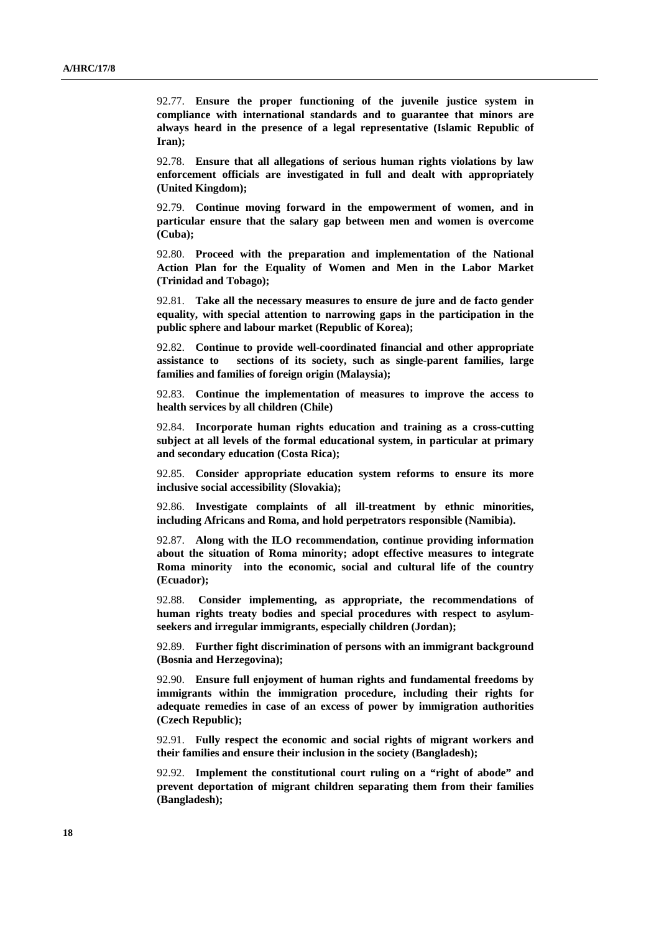92.77. **Ensure the proper functioning of the juvenile justice system in compliance with international standards and to guarantee that minors are always heard in the presence of a legal representative (Islamic Republic of Iran);**

92.78. **Ensure that all allegations of serious human rights violations by law enforcement officials are investigated in full and dealt with appropriately (United Kingdom);**

92.79. **Continue moving forward in the empowerment of women, and in particular ensure that the salary gap between men and women is overcome (Cuba);**

92.80. **Proceed with the preparation and implementation of the National Action Plan for the Equality of Women and Men in the Labor Market (Trinidad and Tobago);**

92.81. **Take all the necessary measures to ensure de jure and de facto gender equality, with special attention to narrowing gaps in the participation in the public sphere and labour market (Republic of Korea);**

92.82. **Continue to provide well-coordinated financial and other appropriate assistance to sections of its society, such as single-parent families, large families and families of foreign origin (Malaysia);**

92.83. **Continue the implementation of measures to improve the access to health services by all children (Chile)**

92.84. **Incorporate human rights education and training as a cross-cutting subject at all levels of the formal educational system, in particular at primary and secondary education (Costa Rica);**

92.85. **Consider appropriate education system reforms to ensure its more inclusive social accessibility (Slovakia);**

92.86. **Investigate complaints of all ill-treatment by ethnic minorities, including Africans and Roma, and hold perpetrators responsible (Namibia).**

92.87. **Along with the ILO recommendation, continue providing information about the situation of Roma minority; adopt effective measures to integrate Roma minority into the economic, social and cultural life of the country (Ecuador);**

92.88. **Consider implementing, as appropriate, the recommendations of human rights treaty bodies and special procedures with respect to asylumseekers and irregular immigrants, especially children (Jordan);**

92.89. **Further fight discrimination of persons with an immigrant background (Bosnia and Herzegovina);**

92.90. **Ensure full enjoyment of human rights and fundamental freedoms by immigrants within the immigration procedure, including their rights for adequate remedies in case of an excess of power by immigration authorities (Czech Republic);**

92.91. **Fully respect the economic and social rights of migrant workers and their families and ensure their inclusion in the society (Bangladesh);**

92.92. **Implement the constitutional court ruling on a "right of abode" and prevent deportation of migrant children separating them from their families (Bangladesh);**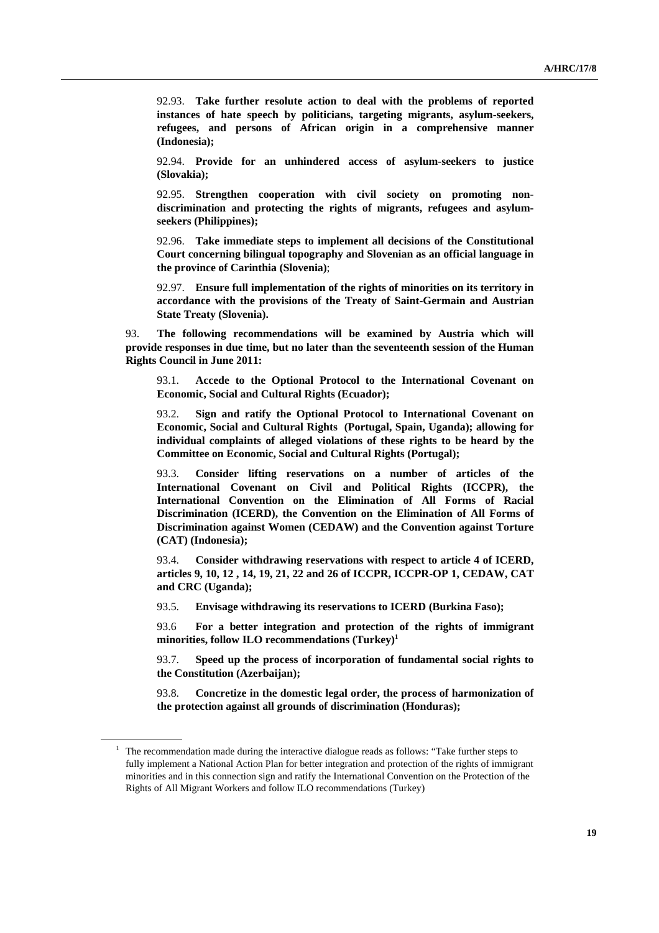92.93. **Take further resolute action to deal with the problems of reported instances of hate speech by politicians, targeting migrants, asylum-seekers, refugees, and persons of African origin in a comprehensive manner (Indonesia);**

92.94. **Provide for an unhindered access of asylum-seekers to justice (Slovakia);**

92.95. **Strengthen cooperation with civil society on promoting nondiscrimination and protecting the rights of migrants, refugees and asylumseekers (Philippines);**

92.96. **Take immediate steps to implement all decisions of the Constitutional Court concerning bilingual topography and Slovenian as an official language in the province of Carinthia (Slovenia)**;

92.97. **Ensure full implementation of the rights of minorities on its territory in accordance with the provisions of the Treaty of Saint-Germain and Austrian State Treaty (Slovenia).**

93. **The following recommendations will be examined by Austria which will provide responses in due time, but no later than the seventeenth session of the Human Rights Council in June 2011:**

93.1. **Accede to the Optional Protocol to the International Covenant on Economic, Social and Cultural Rights (Ecuador);** 

93.2. **Sign and ratify the Optional Protocol to International Covenant on Economic, Social and Cultural Rights (Portugal, Spain, Uganda); allowing for individual complaints of alleged violations of these rights to be heard by the Committee on Economic, Social and Cultural Rights (Portugal);**

93.3. **Consider lifting reservations on a number of articles of the International Covenant on Civil and Political Rights (ICCPR), the International Convention on the Elimination of All Forms of Racial Discrimination (ICERD), the Convention on the Elimination of All Forms of Discrimination against Women (CEDAW) and the Convention against Torture (CAT) (Indonesia);**

93.4. **Consider withdrawing reservations with respect to article 4 of ICERD, articles 9, 10, 12 , 14, 19, 21, 22 and 26 of ICCPR, ICCPR-OP 1, CEDAW, CAT and CRC (Uganda);**

93.5. **Envisage withdrawing its reservations to ICERD (Burkina Faso);**

93.6 **For a better integration and protection of the rights of immigrant minorities, follow ILO recommendations (Turkey)1**

93.7. **Speed up the process of incorporation of fundamental social rights to the Constitution (Azerbaijan);**

93.8. **Concretize in the domestic legal order, the process of harmonization of the protection against all grounds of discrimination (Honduras);**

 $1$  The recommendation made during the interactive dialogue reads as follows: "Take further steps to fully implement a National Action Plan for better integration and protection of the rights of immigrant minorities and in this connection sign and ratify the International Convention on the Protection of the Rights of All Migrant Workers and follow ILO recommendations (Turkey)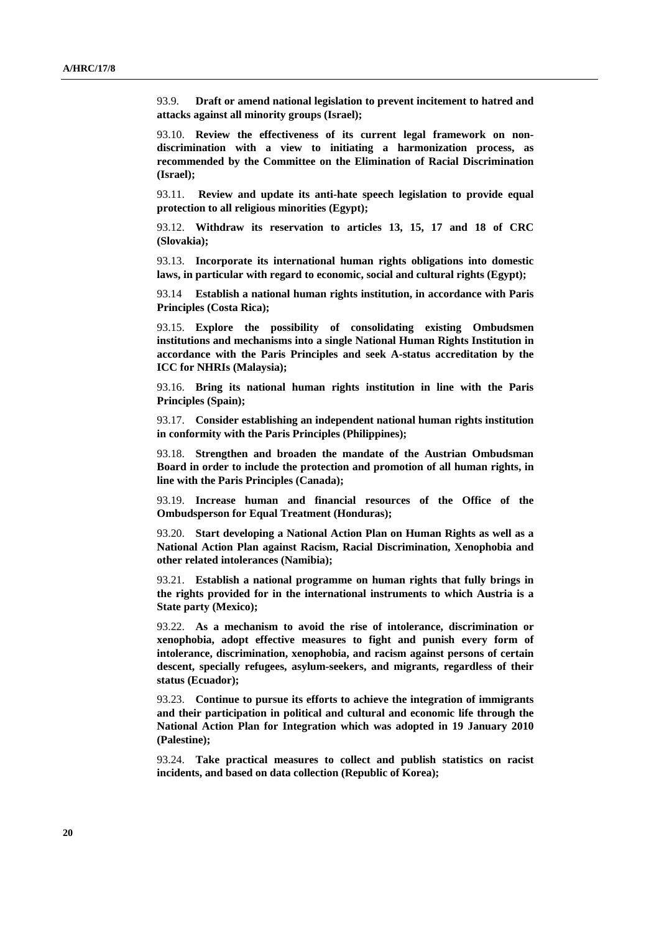93.9. **Draft or amend national legislation to prevent incitement to hatred and attacks against all minority groups (Israel);**

93.10. **Review the effectiveness of its current legal framework on nondiscrimination with a view to initiating a harmonization process, as recommended by the Committee on the Elimination of Racial Discrimination (Israel);** 

93.11. **Review and update its anti-hate speech legislation to provide equal protection to all religious minorities (Egypt);**

93.12. **Withdraw its reservation to articles 13, 15, 17 and 18 of CRC (Slovakia);**

93.13. **Incorporate its international human rights obligations into domestic laws, in particular with regard to economic, social and cultural rights (Egypt);**

93.14 **Establish a national human rights institution, in accordance with Paris Principles (Costa Rica);**

93.15. **Explore the possibility of consolidating existing Ombudsmen institutions and mechanisms into a single National Human Rights Institution in accordance with the Paris Principles and seek A-status accreditation by the ICC for NHRIs (Malaysia);**

93.16. **Bring its national human rights institution in line with the Paris Principles (Spain);** 

93.17. **Consider establishing an independent national human rights institution in conformity with the Paris Principles (Philippines);**

93.18. **Strengthen and broaden the mandate of the Austrian Ombudsman Board in order to include the protection and promotion of all human rights, in line with the Paris Principles (Canada);**

93.19. **Increase human and financial resources of the Office of the Ombudsperson for Equal Treatment (Honduras);**

93.20. **Start developing a National Action Plan on Human Rights as well as a National Action Plan against Racism, Racial Discrimination, Xenophobia and other related intolerances (Namibia);**

93.21. **Establish a national programme on human rights that fully brings in the rights provided for in the international instruments to which Austria is a State party (Mexico);**

93.22. **As a mechanism to avoid the rise of intolerance, discrimination or xenophobia, adopt effective measures to fight and punish every form of intolerance, discrimination, xenophobia, and racism against persons of certain descent, specially refugees, asylum-seekers, and migrants, regardless of their status (Ecuador);** 

93.23. **Continue to pursue its efforts to achieve the integration of immigrants and their participation in political and cultural and economic life through the National Action Plan for Integration which was adopted in 19 January 2010 (Palestine);**

93.24. **Take practical measures to collect and publish statistics on racist incidents, and based on data collection (Republic of Korea);**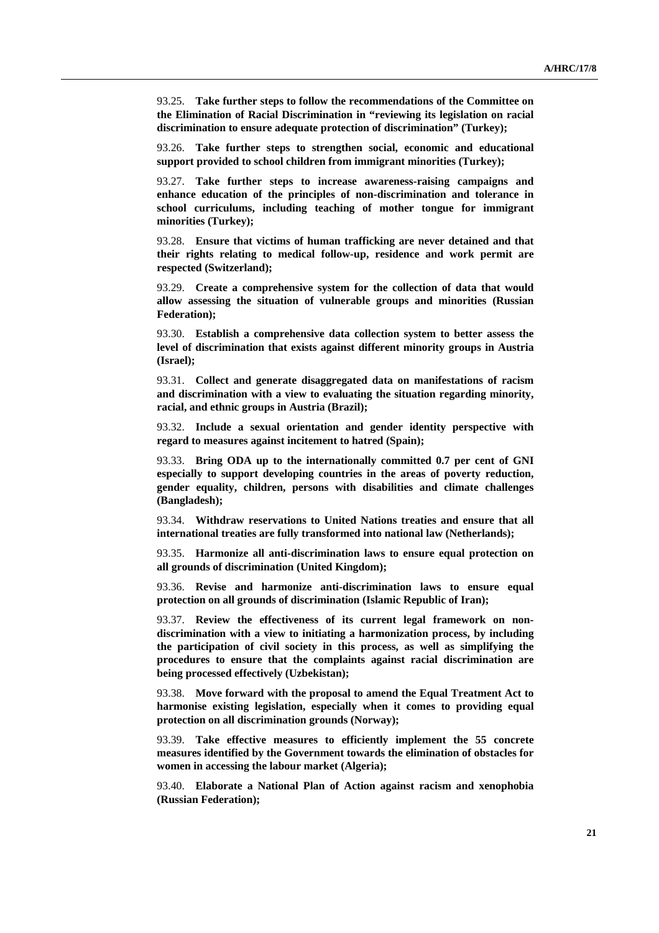93.25. **Take further steps to follow the recommendations of the Committee on the Elimination of Racial Discrimination in "reviewing its legislation on racial discrimination to ensure adequate protection of discrimination" (Turkey);**

93.26. **Take further steps to strengthen social, economic and educational support provided to school children from immigrant minorities (Turkey);**

93.27. **Take further steps to increase awareness-raising campaigns and enhance education of the principles of non-discrimination and tolerance in school curriculums, including teaching of mother tongue for immigrant minorities (Turkey);**

93.28. **Ensure that victims of human trafficking are never detained and that their rights relating to medical follow-up, residence and work permit are respected (Switzerland);**

93.29. **Create a comprehensive system for the collection of data that would allow assessing the situation of vulnerable groups and minorities (Russian Federation);**

93.30. **Establish a comprehensive data collection system to better assess the level of discrimination that exists against different minority groups in Austria (Israel);**

93.31. **Collect and generate disaggregated data on manifestations of racism and discrimination with a view to evaluating the situation regarding minority, racial, and ethnic groups in Austria (Brazil);**

93.32. **Include a sexual orientation and gender identity perspective with regard to measures against incitement to hatred (Spain);**

93.33. **Bring ODA up to the internationally committed 0.7 per cent of GNI especially to support developing countries in the areas of poverty reduction, gender equality, children, persons with disabilities and climate challenges (Bangladesh);**

93.34. **Withdraw reservations to United Nations treaties and ensure that all international treaties are fully transformed into national law (Netherlands);**

93.35. **Harmonize all anti-discrimination laws to ensure equal protection on all grounds of discrimination (United Kingdom);**

93.36. **Revise and harmonize anti-discrimination laws to ensure equal protection on all grounds of discrimination (Islamic Republic of Iran);**

93.37. **Review the effectiveness of its current legal framework on nondiscrimination with a view to initiating a harmonization process, by including the participation of civil society in this process, as well as simplifying the procedures to ensure that the complaints against racial discrimination are being processed effectively (Uzbekistan);**

93.38. **Move forward with the proposal to amend the Equal Treatment Act to harmonise existing legislation, especially when it comes to providing equal protection on all discrimination grounds (Norway);**

93.39. **Take effective measures to efficiently implement the 55 concrete measures identified by the Government towards the elimination of obstacles for women in accessing the labour market (Algeria);**

93.40. **Elaborate a National Plan of Action against racism and xenophobia (Russian Federation);**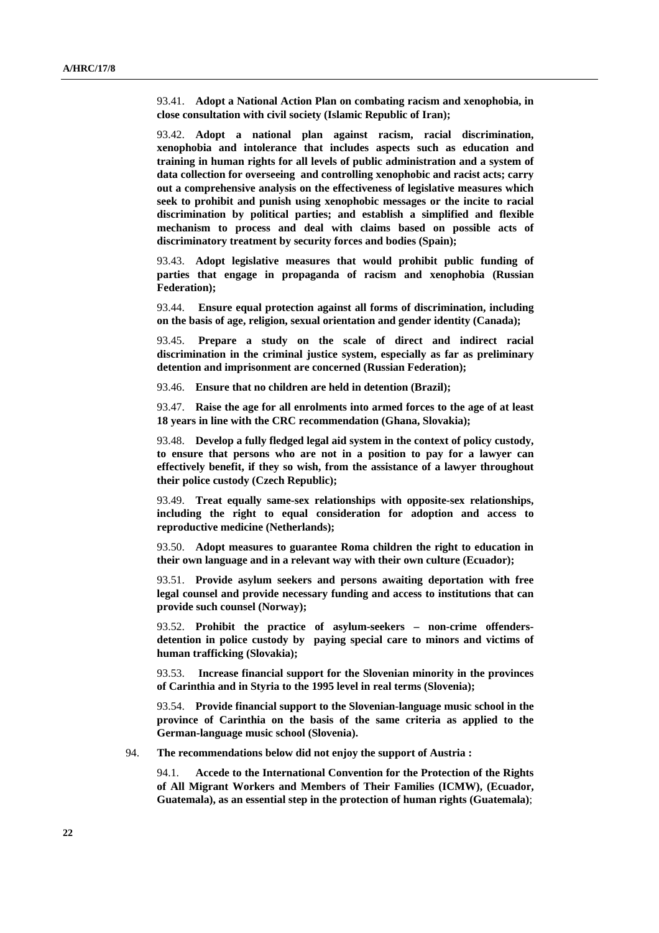93.41. **Adopt a National Action Plan on combating racism and xenophobia, in close consultation with civil society (Islamic Republic of Iran);**

93.42. **Adopt a national plan against racism, racial discrimination, xenophobia and intolerance that includes aspects such as education and training in human rights for all levels of public administration and a system of data collection for overseeing and controlling xenophobic and racist acts; carry out a comprehensive analysis on the effectiveness of legislative measures which seek to prohibit and punish using xenophobic messages or the incite to racial discrimination by political parties; and establish a simplified and flexible mechanism to process and deal with claims based on possible acts of discriminatory treatment by security forces and bodies (Spain);**

93.43. **Adopt legislative measures that would prohibit public funding of parties that engage in propaganda of racism and xenophobia (Russian Federation);**

93.44. **Ensure equal protection against all forms of discrimination, including on the basis of age, religion, sexual orientation and gender identity (Canada);**

93.45. **Prepare a study on the scale of direct and indirect racial discrimination in the criminal justice system, especially as far as preliminary detention and imprisonment are concerned (Russian Federation);**

93.46. **Ensure that no children are held in detention (Brazil);**

93.47. **Raise the age for all enrolments into armed forces to the age of at least 18 years in line with the CRC recommendation (Ghana, Slovakia);**

93.48. **Develop a fully fledged legal aid system in the context of policy custody, to ensure that persons who are not in a position to pay for a lawyer can effectively benefit, if they so wish, from the assistance of a lawyer throughout their police custody (Czech Republic);**

93.49. **Treat equally same-sex relationships with opposite-sex relationships, including the right to equal consideration for adoption and access to reproductive medicine (Netherlands);**

93.50. **Adopt measures to guarantee Roma children the right to education in their own language and in a relevant way with their own culture (Ecuador);**

93.51. **Provide asylum seekers and persons awaiting deportation with free legal counsel and provide necessary funding and access to institutions that can provide such counsel (Norway);**

93.52. **Prohibit the practice of asylum-seekers – non-crime offendersdetention in police custody by paying special care to minors and victims of human trafficking (Slovakia);**

93.53. **Increase financial support for the Slovenian minority in the provinces of Carinthia and in Styria to the 1995 level in real terms (Slovenia);**

93.54. **Provide financial support to the Slovenian-language music school in the province of Carinthia on the basis of the same criteria as applied to the German-language music school (Slovenia).**

94. **The recommendations below did not enjoy the support of Austria :**

94.1. **Accede to the International Convention for the Protection of the Rights of All Migrant Workers and Members of Their Families (ICMW), (Ecuador, Guatemala), as an essential step in the protection of human rights (Guatemala)**;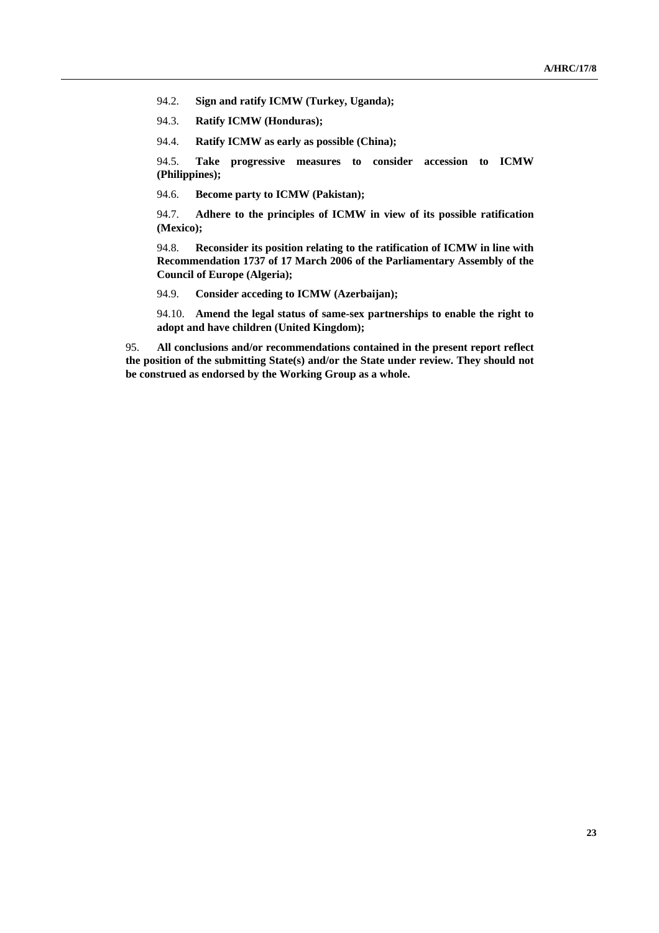94.2. **Sign and ratify ICMW (Turkey, Uganda);**

94.3. **Ratify ICMW (Honduras);**

94.4. **Ratify ICMW as early as possible (China);**

94.5. **Take progressive measures to consider accession to ICMW (Philippines);**

94.6. **Become party to ICMW (Pakistan);**

94.7. **Adhere to the principles of ICMW in view of its possible ratification (Mexico);**

94.8. **Reconsider its position relating to the ratification of ICMW in line with Recommendation 1737 of 17 March 2006 of the Parliamentary Assembly of the Council of Europe (Algeria);**

94.9. **Consider acceding to ICMW (Azerbaijan);**

94.10. **Amend the legal status of same-sex partnerships to enable the right to adopt and have children (United Kingdom);**

95. **All conclusions and/or recommendations contained in the present report reflect the position of the submitting State(s) and/or the State under review. They should not be construed as endorsed by the Working Group as a whole.**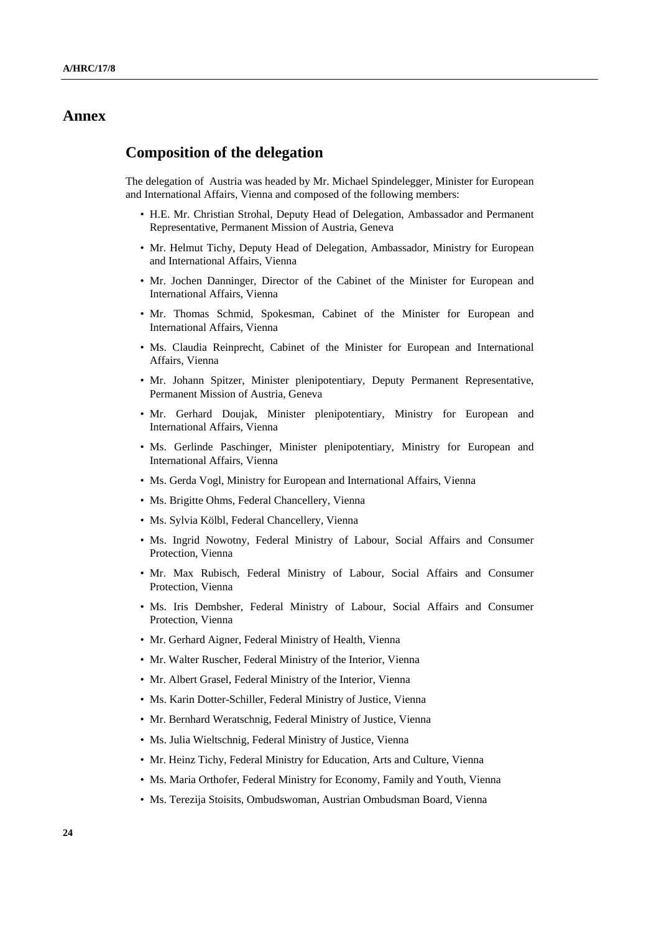## **Annex**

### **Composition of the delegation**

The delegation of Austria was headed by Mr. Michael Spindelegger, Minister for European and International Affairs, Vienna and composed of the following members:

- H.E. Mr. Christian Strohal, Deputy Head of Delegation, Ambassador and Permanent Representative, Permanent Mission of Austria, Geneva
- Mr. Helmut Tichy, Deputy Head of Delegation, Ambassador, Ministry for European and International Affairs, Vienna
- Mr. Jochen Danninger, Director of the Cabinet of the Minister for European and International Affairs, Vienna
- Mr. Thomas Schmid, Spokesman, Cabinet of the Minister for European and International Affairs, Vienna
- Ms. Claudia Reinprecht, Cabinet of the Minister for European and International Affairs, Vienna
- Mr. Johann Spitzer, Minister plenipotentiary, Deputy Permanent Representative, Permanent Mission of Austria, Geneva
- Mr. Gerhard Doujak, Minister plenipotentiary, Ministry for European and International Affairs, Vienna
- Ms. Gerlinde Paschinger, Minister plenipotentiary, Ministry for European and International Affairs, Vienna
- Ms. Gerda Vogl, Ministry for European and International Affairs, Vienna
- Ms. Brigitte Ohms, Federal Chancellery, Vienna
- Ms. Sylvia Kölbl, Federal Chancellery, Vienna
- Ms. Ingrid Nowotny, Federal Ministry of Labour, Social Affairs and Consumer Protection, Vienna
- Mr. Max Rubisch, Federal Ministry of Labour, Social Affairs and Consumer Protection, Vienna
- Ms. Iris Dembsher, Federal Ministry of Labour, Social Affairs and Consumer Protection, Vienna
- Mr. Gerhard Aigner, Federal Ministry of Health, Vienna
- Mr. Walter Ruscher, Federal Ministry of the Interior, Vienna
- Mr. Albert Grasel, Federal Ministry of the Interior, Vienna
- Ms. Karin Dotter-Schiller, Federal Ministry of Justice, Vienna
- Mr. Bernhard Weratschnig, Federal Ministry of Justice, Vienna
- Ms. Julia Wieltschnig, Federal Ministry of Justice, Vienna
- Mr. Heinz Tichy, Federal Ministry for Education, Arts and Culture, Vienna
- Ms. Maria Orthofer, Federal Ministry for Economy, Family and Youth, Vienna
- Ms. Terezija Stoisits, Ombudswoman, Austrian Ombudsman Board, Vienna